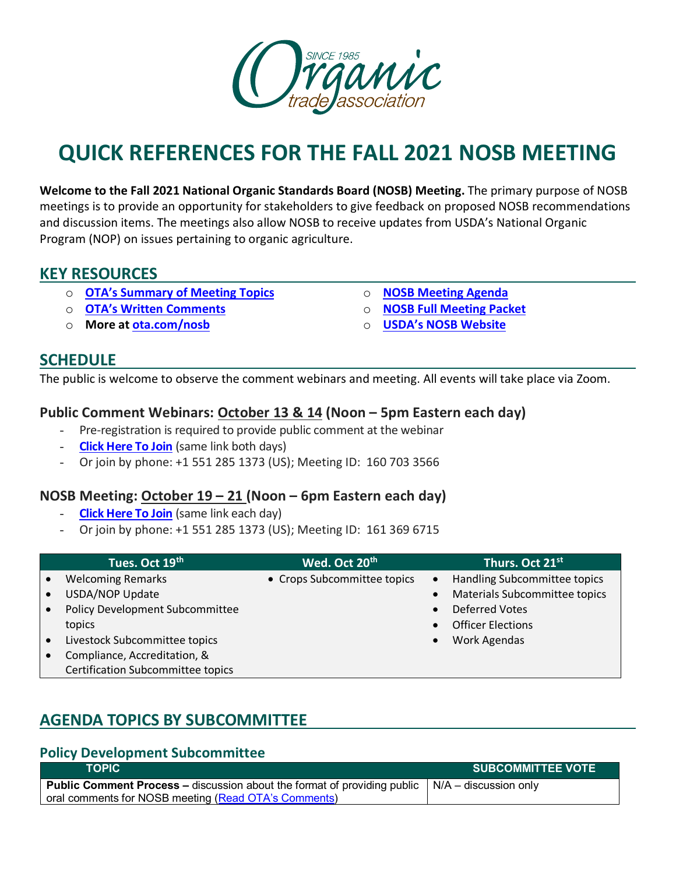

# **QUICK REFERENCES FOR THE FALL 2021 NOSB MEETING**

**Welcome to the Fall 2021 National Organic Standards Board (NOSB) Meeting.** The primary purpose of NOSB meetings is to provide an opportunity for stakeholders to give feedback on proposed NOSB recommendations and discussion items. The meetings also allow NOSB to receive updates from USDA's National Organic Program (NOP) on issues pertaining to organic agriculture.

# **KEY RESOURCES**

- o **[OTA's Summary of Meeting Topics](https://ota.com/sites/default/files/indexed_files/OTA-SummaryOfProposals_FULL_Fall2021NOSB.pdf)**
- o **[OTA's Written Comments](https://ota.com/sites/default/files/indexed_files/OTA%20Comment%20Bundle_NOSB%20Fall%202021_AMS-NOP-21-0038.pdf)**
- o **More at [ota.com/nosb](https://ota.com/advocacy/organic-standards/national-organic-standards-board/nosb-fall-2021-meeting)**
- o **[NOSB Meeting Agenda](https://www.ams.usda.gov/sites/default/files/media/Agenda2021OctNOSBVirtualEXTERNAL.pdf)**
- o **[NOSB Full Meeting Packet](https://www.ams.usda.gov/sites/default/files/media/NOSBProposals%26DDsOctober2021acc.pdf)**
- o **[USDA's NOSB Website](https://www.ams.usda.gov/event/national-organic-standards-board-nosb-meeting-sacramento-ca)**

## **SCHEDULE**

The public is welcome to observe the comment webinars and meeting. All events will take place via Zoom.

## **Public Comment Webinars: October 13 & 14 (Noon – 5pm Eastern each day)**

- Pre-registration is required to provide public comment at the webinar
- **[Click Here To Join](https://www.zoomgov.com/meeting/register/vJItcOmrrT4sHOudbJJjq8VIeB5IvKWHvuM)** (same link both days)
- Or join by phone: +1 551 285 1373 (US); Meeting ID: 160 703 3566

## **NOSB Meeting: October 19 – 21 (Noon – 6pm Eastern each day)**

- **[Click Here To Join](https://www.zoomgov.com/webinar/register/WN_EZwzl0XTQlaqECrBK6lazg%0d)** (same link each day)
- Or join by phone: +1 551 285 1373 (US); Meeting ID: 161 369 6715

| Tues. Oct 19th                    | Wed. Oct 20 <sup>th</sup>   | Thurs. Oct 21st                           |
|-----------------------------------|-----------------------------|-------------------------------------------|
| <b>Welcoming Remarks</b>          | • Crops Subcommittee topics | Handling Subcommittee topics<br>$\bullet$ |
| USDA/NOP Update                   |                             | Materials Subcommittee topics             |
| Policy Development Subcommittee   |                             | <b>Deferred Votes</b>                     |
| topics                            |                             | <b>Officer Elections</b>                  |
| Livestock Subcommittee topics     |                             | Work Agendas                              |
| Compliance, Accreditation, &      |                             |                                           |
| Certification Subcommittee topics |                             |                                           |

# **AGENDA TOPICS BY SUBCOMMITTEE**

#### **Policy Development Subcommittee**

| <b>TOPIC</b>                                                                                                  | <b>SUBCOMMITTEE VOTE</b> |
|---------------------------------------------------------------------------------------------------------------|--------------------------|
| <b>Public Comment Process –</b> discussion about the format of providing public $\vert N/A -$ discussion only |                          |
| oral comments for NOSB meeting (Read OTA's Comments)                                                          |                          |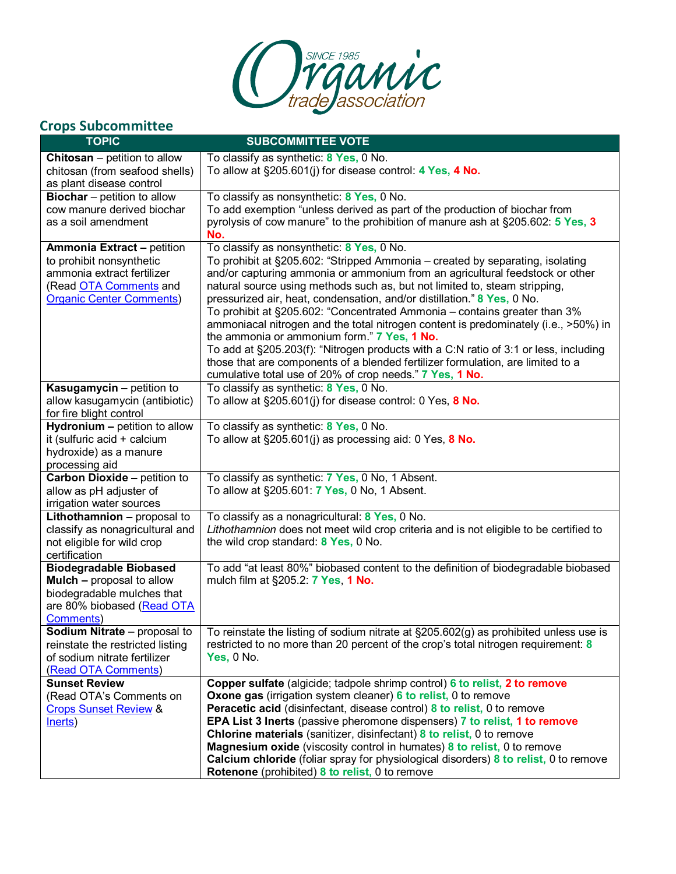

# **Crops Subcommittee**

| <b>TOPIC</b>                                             | <b>SUBCOMMITTEE VOTE</b>                                                                                                           |
|----------------------------------------------------------|------------------------------------------------------------------------------------------------------------------------------------|
| <b>Chitosan</b> – petition to allow                      | To classify as synthetic: 8 Yes, 0 No.                                                                                             |
| chitosan (from seafood shells)                           | To allow at §205.601(j) for disease control: 4 Yes, 4 No.                                                                          |
| as plant disease control                                 |                                                                                                                                    |
| <b>Biochar</b> – petition to allow                       | To classify as nonsynthetic: 8 Yes, 0 No.                                                                                          |
| cow manure derived biochar                               | To add exemption "unless derived as part of the production of biochar from                                                         |
| as a soil amendment                                      | pyrolysis of cow manure" to the prohibition of manure ash at §205.602: 5 Yes, 3                                                    |
|                                                          | No.                                                                                                                                |
| <b>Ammonia Extract - petition</b>                        | To classify as nonsynthetic: 8 Yes, 0 No.                                                                                          |
| to prohibit nonsynthetic                                 | To prohibit at §205.602: "Stripped Ammonia - created by separating, isolating                                                      |
| ammonia extract fertilizer                               | and/or capturing ammonia or ammonium from an agricultural feedstock or other                                                       |
| (Read OTA Comments and                                   | natural source using methods such as, but not limited to, steam stripping,                                                         |
| <b>Organic Center Comments)</b>                          | pressurized air, heat, condensation, and/or distillation." 8 Yes, 0 No.                                                            |
|                                                          | To prohibit at §205.602: "Concentrated Ammonia - contains greater than 3%                                                          |
|                                                          | ammoniacal nitrogen and the total nitrogen content is predominately (i.e., >50%) in<br>the ammonia or ammonium form." 7 Yes, 1 No. |
|                                                          | To add at §205.203(f): "Nitrogen products with a C:N ratio of 3:1 or less, including                                               |
|                                                          | those that are components of a blended fertilizer formulation, are limited to a                                                    |
|                                                          | cumulative total use of 20% of crop needs." 7 Yes, 1 No.                                                                           |
| Kasugamycin - petition to                                | To classify as synthetic: 8 Yes, 0 No.                                                                                             |
| allow kasugamycin (antibiotic)                           | To allow at $\S205.601(j)$ for disease control: 0 Yes, 8 No.                                                                       |
| for fire blight control                                  |                                                                                                                                    |
| Hydronium - petition to allow                            | To classify as synthetic: 8 Yes, 0 No.                                                                                             |
| it (sulfuric acid + calcium                              | To allow at $\S205.601(i)$ as processing aid: 0 Yes, 8 No.                                                                         |
| hydroxide) as a manure                                   |                                                                                                                                    |
| processing aid                                           |                                                                                                                                    |
| Carbon Dioxide - petition to                             | To classify as synthetic: 7 Yes, 0 No, 1 Absent.                                                                                   |
| allow as pH adjuster of                                  | To allow at §205.601: 7 Yes, 0 No, 1 Absent.                                                                                       |
| irrigation water sources                                 |                                                                                                                                    |
| Lithothamnion - proposal to                              | To classify as a nonagricultural: 8 Yes, 0 No.                                                                                     |
| classify as nonagricultural and                          | Lithothamnion does not meet wild crop criteria and is not eligible to be certified to                                              |
| not eligible for wild crop                               | the wild crop standard: 8 Yes, 0 No.                                                                                               |
| certification                                            |                                                                                                                                    |
| <b>Biodegradable Biobased</b>                            | To add "at least 80%" biobased content to the definition of biodegradable biobased                                                 |
| <b>Mulch - proposal to allow</b>                         | mulch film at §205.2: 7 Yes, 1 No.                                                                                                 |
| biodegradable mulches that<br>are 80% biobased (Read OTA |                                                                                                                                    |
| <b>Comments</b> )                                        |                                                                                                                                    |
| Sodium Nitrate - proposal to                             | To reinstate the listing of sodium nitrate at §205.602(g) as prohibited unless use is                                              |
| reinstate the restricted listing                         | restricted to no more than 20 percent of the crop's total nitrogen requirement: 8                                                  |
| of sodium nitrate fertilizer                             | <b>Yes, 0 No.</b>                                                                                                                  |
| (Read OTA Comments)                                      |                                                                                                                                    |
| <b>Sunset Review</b>                                     | Copper sulfate (algicide; tadpole shrimp control) 6 to relist, 2 to remove                                                         |
| (Read OTA's Comments on                                  | <b>Oxone gas</b> (irrigation system cleaner) 6 to relist, 0 to remove                                                              |
| <b>Crops Sunset Review &amp;</b>                         | Peracetic acid (disinfectant, disease control) 8 to relist, 0 to remove                                                            |
| Inerts)                                                  | EPA List 3 Inerts (passive pheromone dispensers) 7 to relist, 1 to remove                                                          |
|                                                          | <b>Chlorine materials</b> (sanitizer, disinfectant) 8 to relist, 0 to remove                                                       |
|                                                          | <b>Magnesium oxide</b> (viscosity control in humates) 8 to relist, 0 to remove                                                     |
|                                                          | Calcium chloride (foliar spray for physiological disorders) 8 to relist, 0 to remove                                               |
|                                                          | Rotenone (prohibited) 8 to relist, 0 to remove                                                                                     |